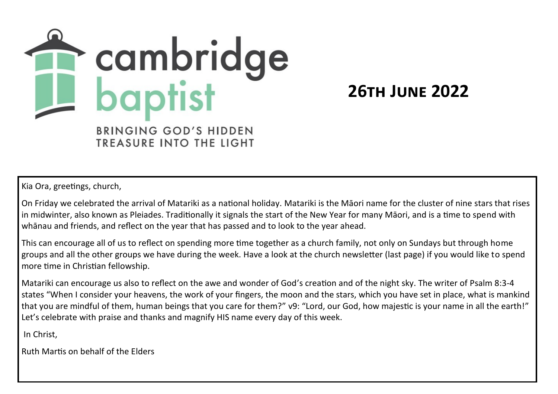

**26th June 2022**

TREASURE INTO THE LIGHT

Kia Ora, greetings, church,

On Friday we celebrated the arrival of Matariki as a national holiday. Matariki is the Māori name for the cluster of nine stars that rises in midwinter, also known as Pleiades. Traditionally it signals the start of the New Year for many Māori, and is a time to spend with whānau and friends, and reflect on the year that has passed and to look to the year ahead.

This can encourage all of us to reflect on spending more time together as a church family, not only on Sundays but through home groups and all the other groups we have during the week. Have a look at the church newsletter (last page) if you would like to spend more time in Christian fellowship.

Matariki can encourage us also to reflect on the awe and wonder of God's creation and of the night sky. The writer of Psalm 8:3-4 states "When I consider your heavens, the work of your fingers, the moon and the stars, which you have set in place, what is mankind that you are mindful of them, human beings that you care for them?" v9: "Lord, our God, how majestic is your name in all the earth!" Let's celebrate with praise and thanks and magnify HIS name every day of this week.

In Christ,

Ruth Martis on behalf of the Elders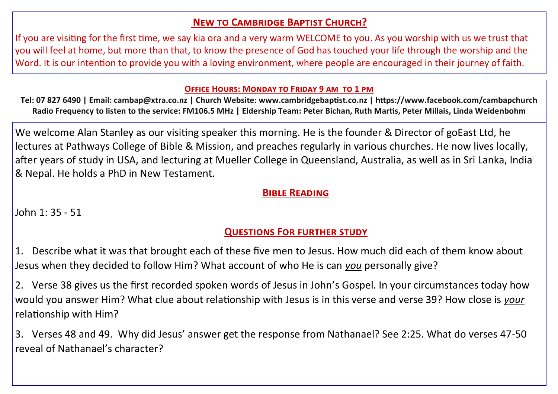# **New to Cambridge Baptist Church?**

If you are visiting for the first time, we say kia ora and a very warm WELCOME to you. As you worship with us we trust that you will feel at home, but more than that, to know the presence of God has touched your life through the worship and the Word. It is our intention to provide you with a loving environment, where people are encouraged in their journey of faith.

#### **Office Hours: Monday to Friday 9 am to 1 pm**

**Tel: 07 827 6490 | Email: cambap@xtra.co.nz | Church Website: www.cambridgebaptist.co.nz | https://www.facebook.com/cambapchurch Radio Frequency to listen to the service: FM106.5 MHz | Eldership Team: Peter Bichan, Ruth Martis, Peter Millais, Linda Weidenbohm**

We welcome Alan Stanley as our visiting speaker this morning. He is the founder & Director of goEast Ltd, he lectures at Pathways College of Bible & Mission, and preaches regularly in various churches. He now lives locally, after years of study in USA, and lecturing at Mueller College in Queensland, Australia, as well as in Sri Lanka, India & Nepal. He holds a PhD in New Testament.

### **Bible Reading**

John 1: 35 - 51

# **Questions For further study**

1. Describe what it was that brought each of these five men to Jesus. How much did each of them know about Jesus when they decided to follow Him? What account of who He is can *you* personally give?

2. Verse 38 gives us the first recorded spoken words of Jesus in John's Gospel. In your circumstances today how would you answer Him? What clue about relationship with Jesus is in this verse and verse 39? How close is *your* relationship with Him?

3. Verses 48 and 49. Why did Jesus' answer get the response from Nathanael? See 2:25. What do verses 47-50 reveal of Nathanael's character?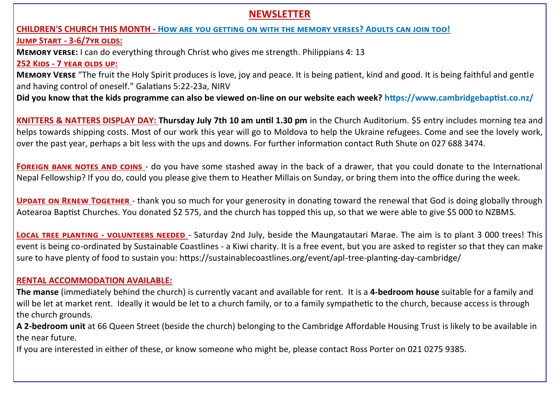## **NEWSLETTER**

# **CHILDREN'S CHURCH THIS MONTH - How are you getting on with the memory verses? Adults can join too! Jump Start - 3-6/7yr olds:**

**Memory verse:** I can do everything through Christ who gives me strength. Philippians 4: 13 **252 Kids - 7 year olds up:**

**Memory Verse** "The fruit the Holy Spirit produces is love, joy and peace. It is being patient, kind and good. It is being faithful and gentle and having control of oneself." Galatians 5:22-23a, NIRV

**Did you know that the kids programme can also be viewed on-line on our website each week? https://www.cambridgebaptist.co.nz/**

**KNITTERS & NATTERS DISPLAY DAY: Thursday July 7th 10 am until 1.30 pm** in the Church Auditorium. \$5 entry includes morning tea and helps towards shipping costs. Most of our work this year will go to Moldova to help the Ukraine refugees. Come and see the lovely work, over the past year, perhaps a bit less with the ups and downs. For further information contact Ruth Shute on 027 688 3474.

**FOREIGN BANK NOTES AND COINS** - do you have some stashed away in the back of a drawer, that you could donate to the International Nepal Fellowship? If you do, could you please give them to Heather Millais on Sunday, or bring them into the office during the week.

**UPDATE ON RENEW TOGETHER** - thank you so much for your generosity in donating toward the renewal that God is doing globally through Aotearoa Baptist Churches. You donated \$2 575, and the church has topped this up, so that we were able to give \$5 000 to NZBMS.

**Local tree planting - volunteers needed** - Saturday 2nd July, beside the Maungatautari Marae. The aim is to plant 3 000 trees! This event is being co-ordinated by Sustainable Coastlines - a Kiwi charity. It is a free event, but you are asked to register so that they can make sure to have plenty of food to sustain you: https://sustainablecoastlines.org/event/apl-tree-planting-day-cambridge/

#### **RENTAL ACCOMMODATION AVAILABLE:**

**The manse** (immediately behind the church) is currently vacant and available for rent. It is a **4-bedroom house** suitable for a family and will be let at market rent. Ideally it would be let to a church family, or to a family sympathetic to the church, because access is through the church grounds.

**A 2-bedroom unit** at 66 Queen Street (beside the church) belonging to the Cambridge Affordable Housing Trust is likely to be available in the near future.

If you are interested in either of these, or know someone who might be, please contact Ross Porter on 021 0275 9385.